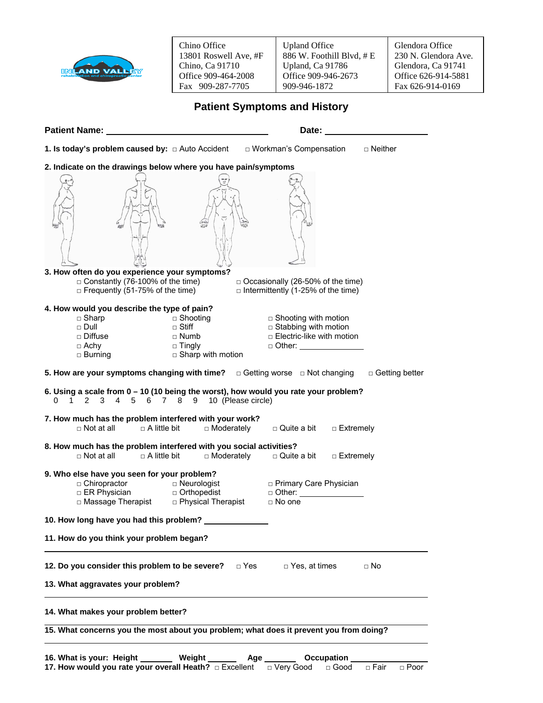